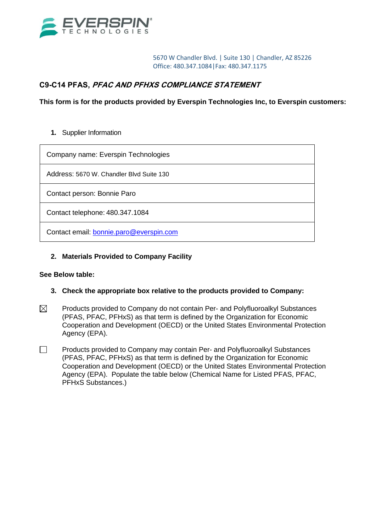

5670 W Chandler Blvd. | Suite 130 | Chandler, AZ 85226 Office: 480.347.1084|Fax: 480.347.1175

# **C9-C14 PFAS, PFAC AND PFHXS COMPLIANCE STATEMENT**

**This form is for the products provided by Everspin Technologies Inc, to Everspin customers:**

### **1.** Supplier Information

Company name: Everspin Technologies

Address: 5670 W. Chandler Blvd Suite 130

Contact person: Bonnie Paro

Contact telephone: 480.347.1084

Contact email: [bonnie.paro@everspin.com](mailto:bonnie.paro@everspin.com)

## **2. Materials Provided to Company Facility**

### **See Below table:**

- **3. Check the appropriate box relative to the products provided to Company:**
- $\boxtimes$ Products provided to Company do not contain Per- and Polyfluoroalkyl Substances (PFAS, PFAC, PFHxS) as that term is defined by the Organization for Economic Cooperation and Development (OECD) or the United States Environmental Protection Agency (EPA).
- П Products provided to Company may contain Per- and Polyfluoroalkyl Substances (PFAS, PFAC, PFHxS) as that term is defined by the Organization for Economic Cooperation and Development (OECD) or the United States Environmental Protection Agency (EPA). Populate the table below (Chemical Name for Listed PFAS, PFAC, PFHxS Substances.)